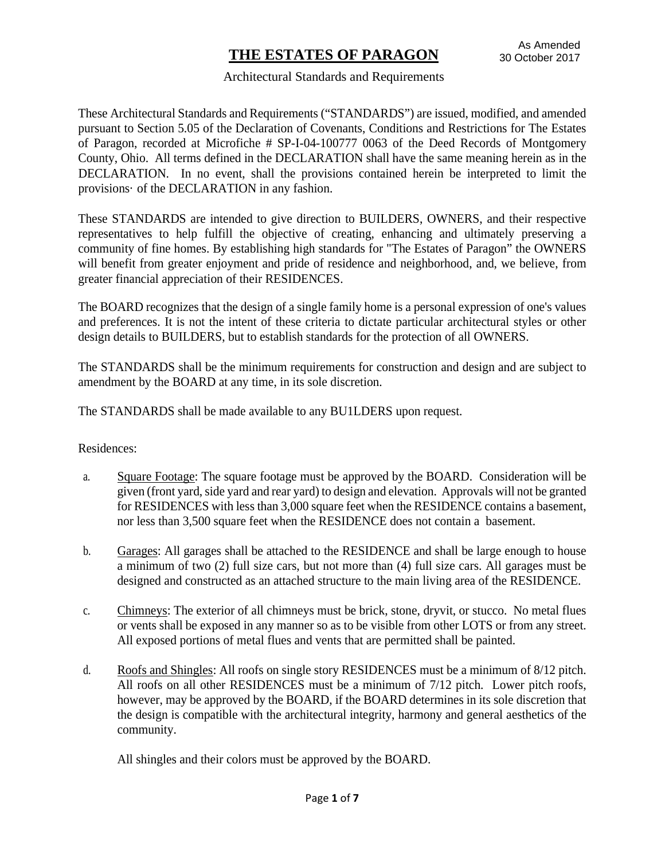#### Architectural Standards and Requirements

These Architectural Standards and Requirements ("STANDARDS") are issued, modified, and amended pursuant to Section 5.05 of the Declaration of Covenants, Conditions and Restrictions for The Estates of Paragon, recorded at Microfiche # SP-I-04-100777 0063 of the Deed Records of Montgomery County, Ohio. All terms defined in the DECLARATION shall have the same meaning herein as in the DECLARATION. In no event, shall the provisions contained herein be interpreted to limit the provisions· of the DECLARATION in any fashion.

These STANDARDS are intended to give direction to BUILDERS, OWNERS, and their respective representatives to help fulfill the objective of creating, enhancing and ultimately preserving a community of fine homes. By establishing high standards for "The Estates of Paragon" the OWNERS will benefit from greater enjoyment and pride of residence and neighborhood, and, we believe, from greater financial appreciation of their RESIDENCES.

The BOARD recognizes that the design of a single family home is a personal expression of one's values and preferences. It is not the intent of these criteria to dictate particular architectural styles or other design details to BUILDERS, but to establish standards for the protection of all OWNERS.

The STANDARDS shall be the minimum requirements for construction and design and are subject to amendment by the BOARD at any time, in its sole discretion.

The STANDARDS shall be made available to any BU1LDERS upon request.

Residences:

- a. Square Footage: The square footage must be approved by the BOARD. Consideration will be given (front yard, side yard and rear yard) to design and elevation. Approvals will not be granted for RESIDENCES with less than 3,000 square feet when the RESIDENCE contains a basement, nor less than 3,500 square feet when the RESIDENCE does not contain a basement.
- b. Garages: All garages shall be attached to the RESIDENCE and shall be large enough to house a minimum of two (2) full size cars, but not more than (4) full size cars. All garages must be designed and constructed as an attached structure to the main living area of the RESIDENCE.
- c. Chimneys: The exterior of all chimneys must be brick, stone, dryvit, or stucco. No metal flues or vents shall be exposed in any manner so as to be visible from other LOTS or from any street. All exposed portions of metal flues and vents that are permitted shall be painted.
- d. Roofs and Shingles: All roofs on single story RESIDENCES must be a minimum of 8/12 pitch. All roofs on all other RESIDENCES must be a minimum of 7/12 pitch. Lower pitch roofs, however, may be approved by the BOARD, if the BOARD determines in its sole discretion that the design is compatible with the architectural integrity, harmony and general aesthetics of the community.

All shingles and their colors must be approved by the BOARD.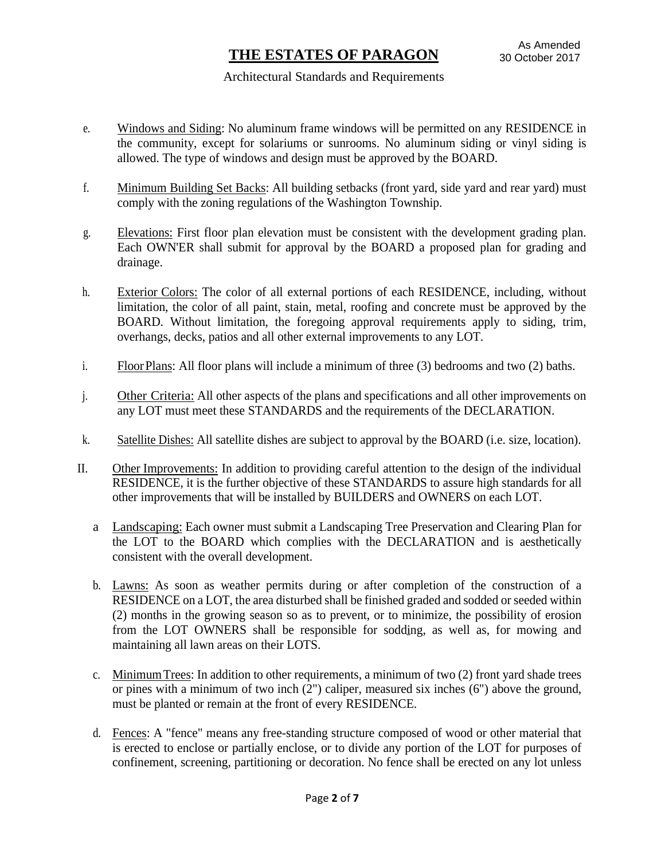#### Architectural Standards and Requirements

- e. Windows and Siding: No aluminum frame windows will be permitted on any RESIDENCE in the community, except for solariums or sunrooms. No aluminum siding or vinyl siding is allowed. The type of windows and design must be approved by the BOARD.
- f. Minimum Building Set Backs: All building setbacks (front yard, side yard and rear yard) must comply with the zoning regulations of the Washington Township.
- g. Elevations: First floor plan elevation must be consistent with the development grading plan. Each OWN'ER shall submit for approval by the BOARD a proposed plan for grading and drainage.
- h. Exterior Colors: The color of all external portions of each RESIDENCE, including, without limitation, the color of all paint, stain, metal, roofing and concrete must be approved by the BOARD. Without limitation, the foregoing approval requirements apply to siding, trim, overhangs, decks, patios and all other external improvements to any LOT.
- i. FloorPlans: All floor plans will include a minimum of three (3) bedrooms and two (2) baths.
- j. Other Criteria: All other aspects of the plans and specifications and all other improvements on any LOT must meet these STANDARDS and the requirements of the DECLARATION.
- k. Satellite Dishes: All satellite dishes are subject to approval by the BOARD (i.e. size, location).
- II. Other Improvements: In addition to providing careful attention to the design of the individual RESIDENCE, it is the further objective of these STANDARDS to assure high standards for all other improvements that will be installed by BUILDERS and OWNERS on each LOT.
	- a Landscaping: Each owner must submit a Landscaping Tree Preservation and Clearing Plan for the LOT to the BOARD which complies with the DECLARATION and is aesthetically consistent with the overall development.
	- b. Lawns: As soon as weather permits during or after completion of the construction of a RESIDENCE on a LOT, the area disturbed shall be finished graded and sodded or seeded within (2) months in the growing season so as to prevent, or to minimize, the possibility of erosion from the LOT OWNERS shall be responsible for sodding, as well as, for mowing and maintaining all lawn areas on their LOTS.
	- c. MinimumTrees: In addition to other requirements, a minimum of two (2) front yard shade trees or pines with a minimum of two inch (2") caliper, measured six inches (6") above the ground, must be planted or remain at the front of every RESIDENCE.
	- d. Fences: A "fence" means any free-standing structure composed of wood or other material that is erected to enclose or partially enclose, or to divide any portion of the LOT for purposes of confinement, screening, partitioning or decoration. No fence shall be erected on any lot unless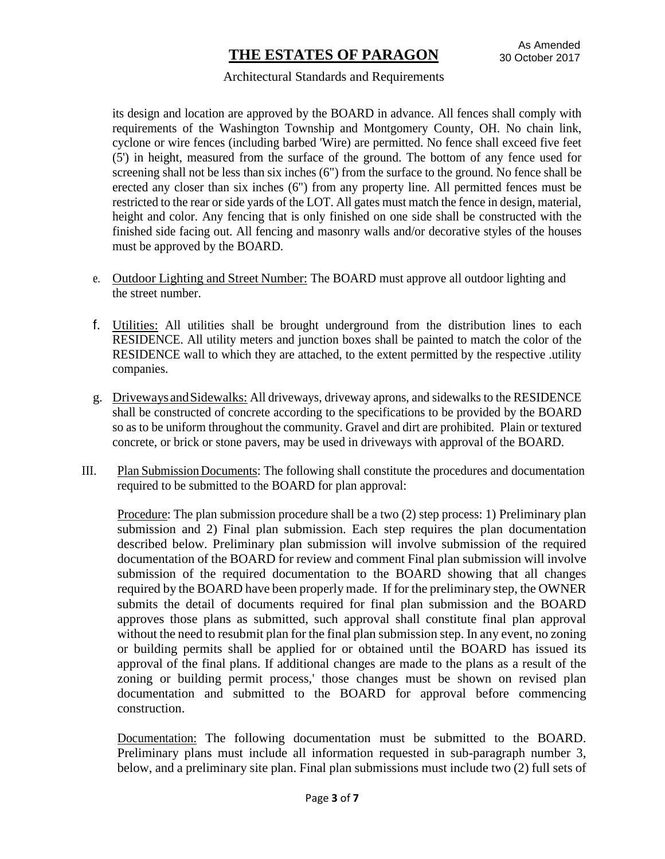#### Architectural Standards and Requirements

its design and location are approved by the BOARD in advance. All fences shall comply with requirements of the Washington Township and Montgomery County, OH. No chain link, cyclone or wire fences (including barbed 'Wire) are permitted. No fence shall exceed five feet (5') in height, measured from the surface of the ground. The bottom of any fence used for screening shall not be less than six inches (6") from the surface to the ground. No fence shall be erected any closer than six inches (6") from any property line. All permitted fences must be restricted to the rear or side yards of the LOT. All gates must match the fence in design, material, height and color. Any fencing that is only finished on one side shall be constructed with the finished side facing out. All fencing and masonry walls and/or decorative styles of the houses must be approved by the BOARD.

- e. Outdoor Lighting and Street Number: The BOARD must approve all outdoor lighting and the street number.
- f. Utilities: All utilities shall be brought underground from the distribution lines to each RESIDENCE. All utility meters and junction boxes shall be painted to match the color of the RESIDENCE wall to which they are attached, to the extent permitted by the respective .utility companies.
- g. Driveways andSidewalks: All driveways, driveway aprons, and sidewalks to the RESIDENCE shall be constructed of concrete according to the specifications to be provided by the BOARD so as to be uniform throughout the community. Gravel and dirt are prohibited. Plain or textured concrete, or brick or stone pavers, may be used in driveways with approval of the BOARD.
- III. Plan Submission Documents: The following shall constitute the procedures and documentation required to be submitted to the BOARD for plan approval:

Procedure: The plan submission procedure shall be a two (2) step process: 1) Preliminary plan submission and 2) Final plan submission. Each step requires the plan documentation described below. Preliminary plan submission will involve submission of the required documentation of the BOARD for review and comment Final plan submission will involve submission of the required documentation to the BOARD showing that all changes required by the BOARD have been properly made. If for the preliminary step, the OWNER submits the detail of documents required for final plan submission and the BOARD approves those plans as submitted, such approval shall constitute final plan approval without the need to resubmit plan for the final plan submission step. In any event, no zoning or building permits shall be applied for or obtained until the BOARD has issued its approval of the final plans. If additional changes are made to the plans as a result of the zoning or building permit process,' those changes must be shown on revised plan documentation and submitted to the BOARD for approval before commencing construction.

Documentation: The following documentation must be submitted to the BOARD. Preliminary plans must include all information requested in sub-paragraph number 3, below, and a preliminary site plan. Final plan submissions must include two (2) full sets of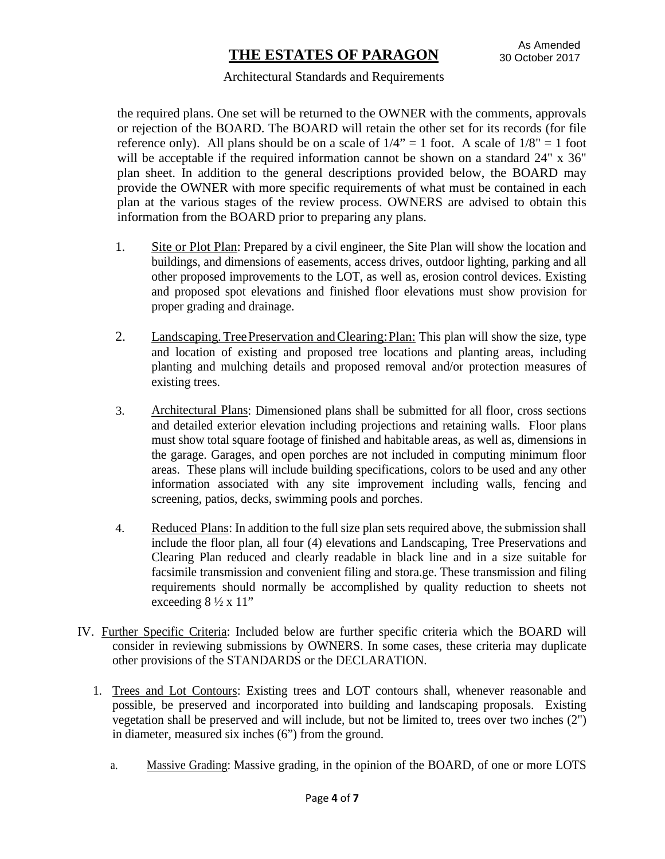#### Architectural Standards and Requirements

the required plans. One set will be returned to the OWNER with the comments, approvals or rejection of the BOARD. The BOARD will retain the other set for its records (for file reference only). All plans should be on a scale of  $1/4$ " = 1 foot. A scale of  $1/8$ " = 1 foot will be acceptable if the required information cannot be shown on a standard 24" x 36" plan sheet. In addition to the general descriptions provided below, the BOARD may provide the OWNER with more specific requirements of what must be contained in each plan at the various stages of the review process. OWNERS are advised to obtain this information from the BOARD prior to preparing any plans.

- 1. Site or Plot Plan: Prepared by a civil engineer, the Site Plan will show the location and buildings, and dimensions of easements, access drives, outdoor lighting, parking and all other proposed improvements to the LOT, as well as, erosion control devices. Existing and proposed spot elevations and finished floor elevations must show provision for proper grading and drainage.
- 2. Landscaping.TreePreservation andClearing:Plan: This plan will show the size, type and location of existing and proposed tree locations and planting areas, including planting and mulching details and proposed removal and/or protection measures of existing trees.
- 3. Architectural Plans: Dimensioned plans shall be submitted for all floor, cross sections and detailed exterior elevation including projections and retaining walls. Floor plans must show total square footage of finished and habitable areas, as well as, dimensions in the garage. Garages, and open porches are not included in computing minimum floor areas. These plans will include building specifications, colors to be used and any other information associated with any site improvement including walls, fencing and screening, patios, decks, swimming pools and porches.
- 4. Reduced Plans: In addition to the full size plan sets required above, the submission shall include the floor plan, all four (4) elevations and Landscaping, Tree Preservations and Clearing Plan reduced and clearly readable in black line and in a size suitable for facsimile transmission and convenient filing and stora.ge. These transmission and filing requirements should normally be accomplished by quality reduction to sheets not exceeding  $8\frac{1}{2} \times 11$ "
- IV. Further Specific Criteria: Included below are further specific criteria which the BOARD will consider in reviewing submissions by OWNERS. In some cases, these criteria may duplicate other provisions of the STANDARDS or the DECLARATION.
	- 1. Trees and Lot Contours: Existing trees and LOT contours shall, whenever reasonable and possible, be preserved and incorporated into building and landscaping proposals. Existing vegetation shall be preserved and will include, but not be limited to, trees over two inches (2") in diameter, measured six inches (6") from the ground.
		- a. Massive Grading: Massive grading, in the opinion of the BOARD, of one or more LOTS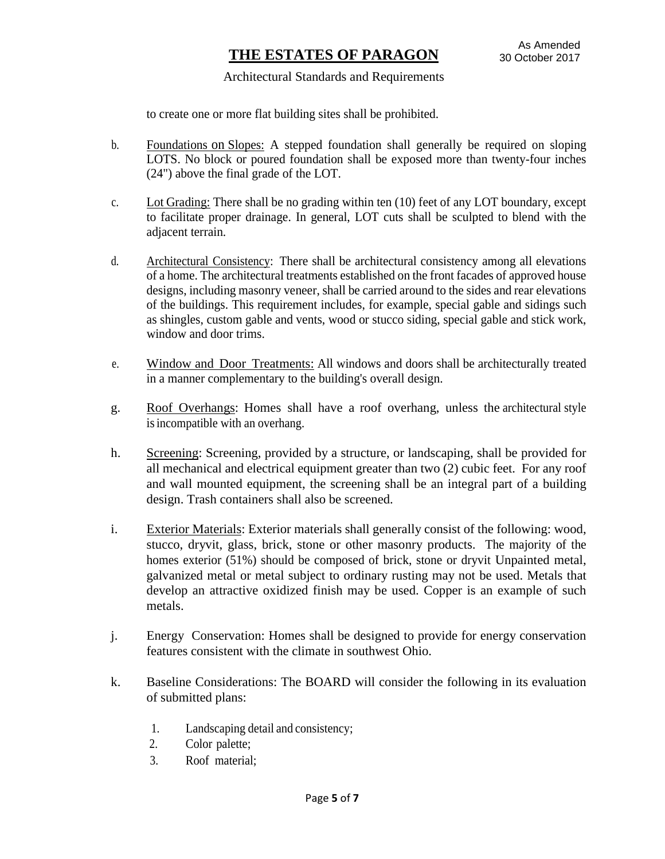#### Architectural Standards and Requirements

to create one or more flat building sites shall be prohibited.

- b. Foundations on Slopes: A stepped foundation shall generally be required on sloping LOTS. No block or poured foundation shall be exposed more than twenty-four inches (24") above the final grade of the LOT.
- c. Lot Grading: There shall be no grading within ten (10) feet of any LOT boundary, except to facilitate proper drainage. In general, LOT cuts shall be sculpted to blend with the adjacent terrain.
- d. Architectural Consistency: There shall be architectural consistency among all elevations of a home. The architectural treatments established on the front facades of approved house designs, including masonry veneer, shall be carried around to the sides and rear elevations of the buildings. This requirement includes, for example, special gable and sidings such as shingles, custom gable and vents, wood or stucco siding, special gable and stick work, window and door trims.
- e. Window and Door Treatments: All windows and doors shall be architecturally treated in a manner complementary to the building's overall design.
- g. Roof Overhangs: Homes shall have a roof overhang, unless the architectural style is incompatible with an overhang.
- h. Screening: Screening, provided by a structure, or landscaping, shall be provided for all mechanical and electrical equipment greater than two (2) cubic feet. For any roof and wall mounted equipment, the screening shall be an integral part of a building design. Trash containers shall also be screened.
- i. Exterior Materials: Exterior materials shall generally consist of the following: wood, stucco, dryvit, glass, brick, stone or other masonry products. The majority of the homes exterior (51%) should be composed of brick, stone or dryvit Unpainted metal, galvanized metal or metal subject to ordinary rusting may not be used. Metals that develop an attractive oxidized finish may be used. Copper is an example of such metals.
- j. Energy Conservation: Homes shall be designed to provide for energy conservation features consistent with the climate in southwest Ohio.
- k. Baseline Considerations: The BOARD will consider the following in its evaluation of submitted plans:
	- 1. Landscaping detail and consistency;
	- 2. Color palette;
	- 3. Roof material;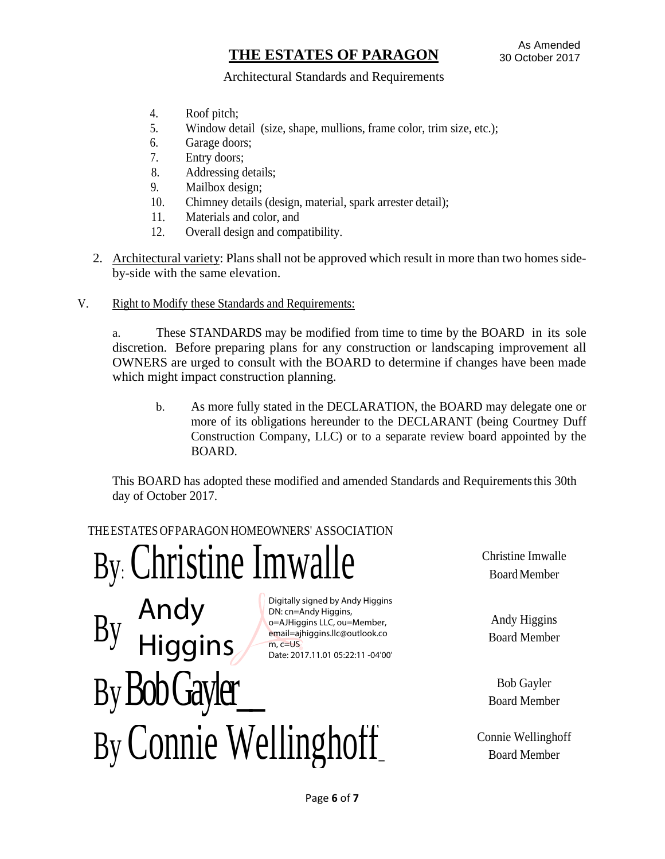#### Architectural Standards and Requirements

- 4. Roof pitch;
- 5. Window detail (size, shape, mullions, frame color, trim size, etc.);
- 6. Garage doors;
- 7. Entry doors;
- 8. Addressing details;
- 9. Mailbox design;
- 10. Chimney details (design, material, spark arrester detail);
- 11. Materials and color, and
- 12. Overall design and compatibility.
- 2. Architectural variety: Plans shall not be approved which result in more than two homes sideby-side with the same elevation.
- V. Right to Modify these Standards and Requirements:

a. These STANDARDS may be modified from time to time by the BOARD in its sole discretion. Before preparing plans for any construction or landscaping improvement all OWNERS are urged to consult with the BOARD to determine if changes have been made which might impact construction planning.

b. As more fully stated in the DECLARATION, the BOARD may delegate one or more of its obligations hereunder to the DECLARANT (being Courtney Duff Construction Company, LLC) or to a separate review board appointed by the BOARD.

This BOARD has adopted these modified and amended Standards and Requirementsthis 30th day of October 2017.

### THEESTATES OFPARAGON HOMEOWNERS' ASSOCIATION

 $By: **Christine InWalle** \nSubstituting the following equations:\n $\begin{bmatrix}\n\frac{1}{16} & \frac{1}{16} \\
\frac{1}{16} & \frac{1}{16} \\
\frac{1}{16} & \frac{1}{16} \\
\frac{1}{16} & \frac{1}{16} \\
\frac{1}{16} & \frac{1}{16} \\
\frac{1}{16} & \frac{1}{16} \\
\frac{1}{16} & \frac{1}{16} \\
\frac{1}{16} & \frac{1}{16} \\
\frac{1}{16} & \frac{1}{16} \\
\frac{1}{16} & \frac{1}{16} \\
\frac{1}{16$$ 

 $\mathbf{B}$  Andy Higgins LLC, ou=Member, Andy Higgins LLC, ou=Member, Andy Higgins Andy Higgins Andy Higgins ( $\mathbf{B}$  $\text{By Bob Gayler}_{\text{Board Member}}$ By Connie Wellinghoff Connie Wellinghoff Andy **Higgins** Digitally signed by Andy Higgins DN: cn=Andy Higgins, o=AJHiggins LLC, ou=Member, email=ajhiggins.llc@outlook.co m, c=US Date: 2017.11.01 05:22:11 -04'00'

BoardMember

Board Member

Board Member

Board Member